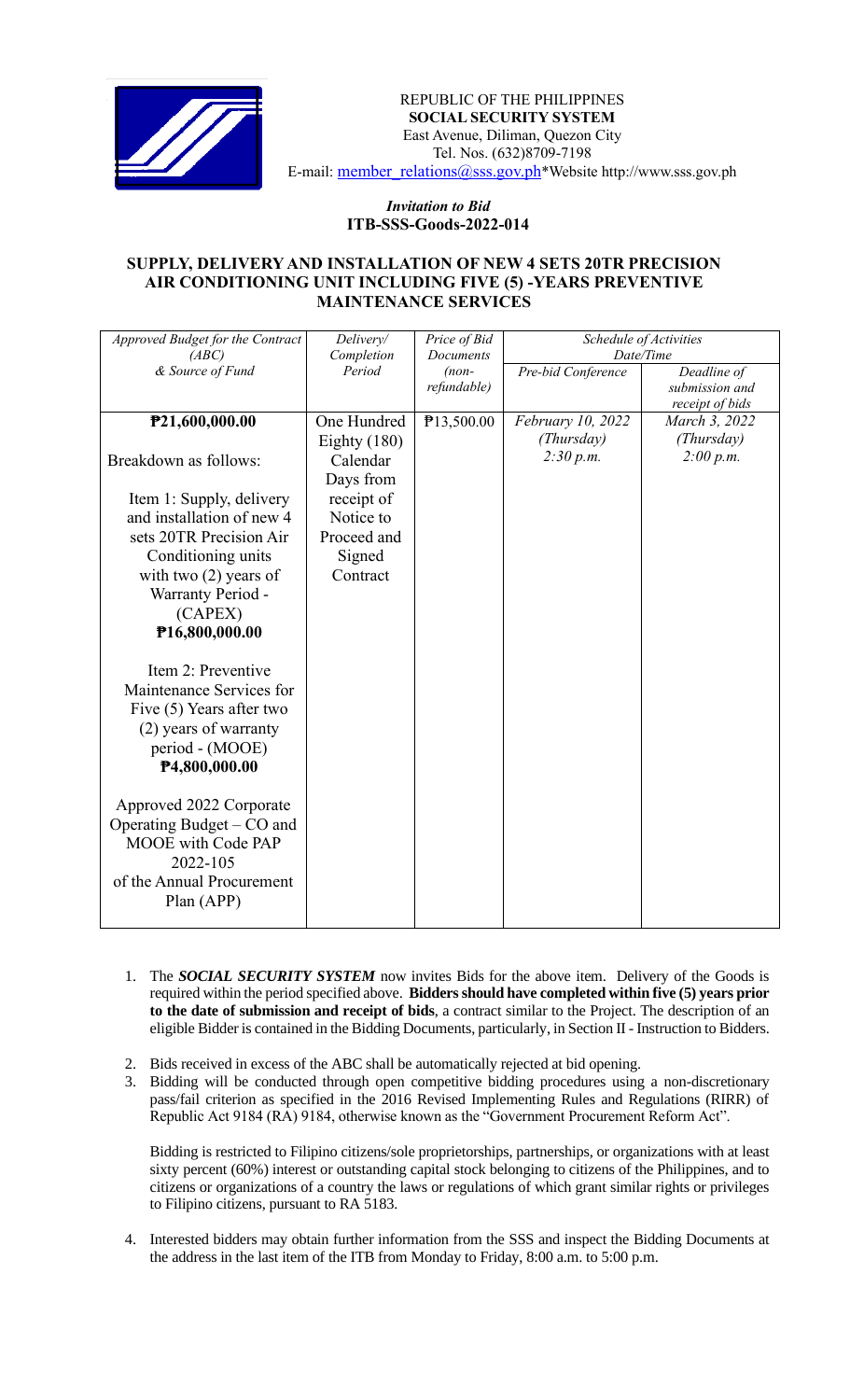

REPUBLIC OF THE PHILIPPINES  **SOCIAL SECURITY SYSTEM** East Avenue, Diliman, Quezon City Tel. Nos. (632)8709-7198 E-mail: [member\\_relations@sss.gov.ph](mailto:member_relations@sss.gov.ph)\*Website http://www.sss.gov.ph

## *Invitation to Bid*  **ITB-SSS-Goods-2022-014**

## **SUPPLY, DELIVERY AND INSTALLATION OF NEW 4 SETS 20TR PRECISION AIR CONDITIONING UNIT INCLUDING FIVE (5) -YEARS PREVENTIVE MAINTENANCE SERVICES**

| Approved Budget for the Contract<br>(ABC)                                                                                         | Delivery/<br>Completion    | Price of Bid<br>Documents | Schedule of Activities<br>Date/Time |                                   |
|-----------------------------------------------------------------------------------------------------------------------------------|----------------------------|---------------------------|-------------------------------------|-----------------------------------|
| & Source of Fund                                                                                                                  | Period                     | $(non-$                   | Pre-bid Conference                  | Deadline of                       |
|                                                                                                                                   |                            | refundable)               |                                     | submission and<br>receipt of bids |
| P21,600,000.00                                                                                                                    | One Hundred                | P13,500.00                | February 10, 2022<br>(Thursday)     | March 3, 2022<br>(Thursday)       |
| Breakdown as follows:                                                                                                             | Eighty $(180)$<br>Calendar |                           | 2:30 p.m.                           | 2:00 p.m.                         |
| Item 1: Supply, delivery                                                                                                          | Days from<br>receipt of    |                           |                                     |                                   |
| and installation of new 4<br>sets 20TR Precision Air                                                                              | Notice to<br>Proceed and   |                           |                                     |                                   |
| Conditioning units                                                                                                                | Signed                     |                           |                                     |                                   |
| with two $(2)$ years of                                                                                                           | Contract                   |                           |                                     |                                   |
| Warranty Period -<br>(CAPEX)                                                                                                      |                            |                           |                                     |                                   |
| P16,800,000.00                                                                                                                    |                            |                           |                                     |                                   |
| Item 2: Preventive<br>Maintenance Services for<br>Five (5) Years after two<br>(2) years of warranty<br>period - (MOOE)            |                            |                           |                                     |                                   |
| P4,800,000.00                                                                                                                     |                            |                           |                                     |                                   |
| Approved 2022 Corporate<br>Operating Budget – CO and<br>MOOE with Code PAP<br>2022-105<br>of the Annual Procurement<br>Plan (APP) |                            |                           |                                     |                                   |

- 1. The *SOCIAL SECURITY SYSTEM* now invites Bids for the above item. Delivery of the Goods is required within the period specified above. **Bidders should have completed within five (5) years prior to the date of submission and receipt of bids**, a contract similar to the Project. The description of an eligible Bidder is contained in the Bidding Documents, particularly, in Section II - Instruction to Bidders.
- 2. Bids received in excess of the ABC shall be automatically rejected at bid opening.
- 3. Bidding will be conducted through open competitive bidding procedures using a non-discretionary pass/fail criterion as specified in the 2016 Revised Implementing Rules and Regulations (RIRR) of Republic Act 9184 (RA) 9184, otherwise known as the "Government Procurement Reform Act".

Bidding is restricted to Filipino citizens/sole proprietorships, partnerships, or organizations with at least sixty percent (60%) interest or outstanding capital stock belonging to citizens of the Philippines, and to citizens or organizations of a country the laws or regulations of which grant similar rights or privileges to Filipino citizens, pursuant to RA 5183.

4. Interested bidders may obtain further information from the SSS and inspect the Bidding Documents at the address in the last item of the ITB from Monday to Friday, 8:00 a.m. to 5:00 p.m.